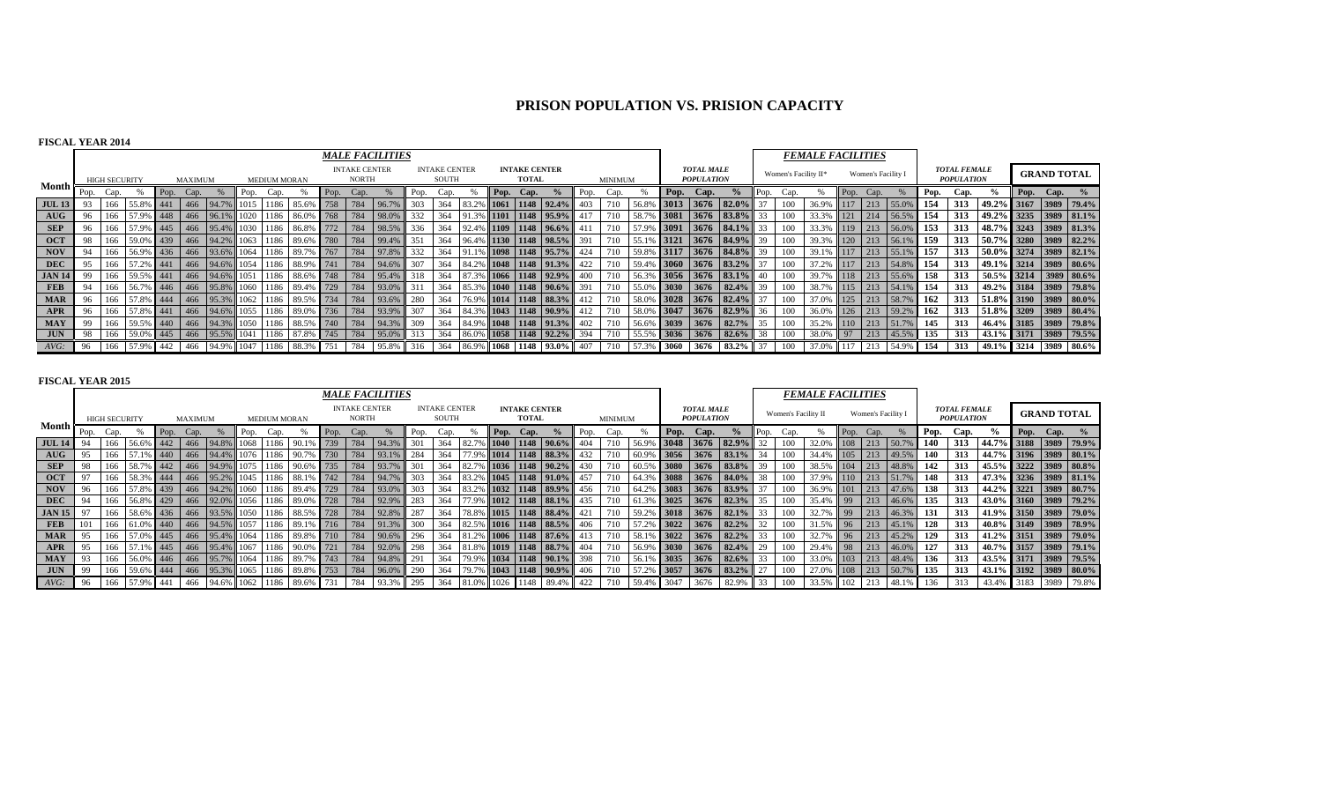# **PRISON POPULATION VS. PRISION CAPACITY**

## **FISCAL YEAR 2014**

|                                    |      |                      |               |      |         |                |      |                     |                    |      |                                      | <b>MALE FACILITIES</b> |      |                               |          |      |                                      |                             |      |                |         |      |                                        |                          |              |                      | <b>FEMALE FACILITIES</b> |                    |                     |      |                                          |                                                    |           |                    |                       |
|------------------------------------|------|----------------------|---------------|------|---------|----------------|------|---------------------|--------------------|------|--------------------------------------|------------------------|------|-------------------------------|----------|------|--------------------------------------|-----------------------------|------|----------------|---------|------|----------------------------------------|--------------------------|--------------|----------------------|--------------------------|--------------------|---------------------|------|------------------------------------------|----------------------------------------------------|-----------|--------------------|-----------------------|
|                                    |      | <b>HIGH SECURITY</b> |               |      | MAXIMUM |                |      | <b>MEDIUM MORAN</b> |                    |      | <b>INTAKE CENTER</b><br><b>NORTH</b> |                        |      | <b>INTAKE CENTER</b><br>SOUTH |          |      | <b>INTAKE CENTER</b><br><b>TOTAL</b> |                             |      | <b>MINIMUM</b> |         |      | <b>TOTAL MALE</b><br><b>POPULATION</b> |                          |              | Women's Facility II* |                          | Women's Facility I |                     |      | <b>TOTAL FEMALE</b><br><b>POPULATION</b> |                                                    |           | <b>GRAND TOTAL</b> |                       |
| Month li                           | Pop. | Cap.                 |               | Pop. | Cap.    |                | Pop. | Cap.                |                    | Pop. | Cap.                                 |                        | Pop. | Cap.                          |          | Pop. | Cap.                                 |                             | Pop. | Cap.           |         |      | Pop. Cap.                              |                          | Pop.         | Cap.                 |                          | Pop. Cap.          |                     | Pop. | Cap.                                     | $\frac{9}{6}$                                      | Pop. Cap. |                    |                       |
| <b>JUL 13</b>                      |      | 166                  | 55.8% 441     |      | 466     | 94.7%          | 1015 |                     | 1186 85.6% 758 784 |      |                                      | 96.7%                  | 303  | 364                           |          |      |                                      | $6$ 1061 1148 92.4%         |      |                | 56.8    |      | 3013 3676 82.0%                        |                          |              | 100                  | 36.9%                    | $117$ 213          | 55.09               | 154  | 313                                      | 49.2% 3167 3989 79.4%                              |           |                    |                       |
| $\mathbf{A} \mathbf{U} \mathbf{G}$ | 96   | 166                  | 57.9% 448     |      |         | 466 96.1% 1020 |      |                     | 1186 86.0% 768 784 |      |                                      | $98.0\%$               | 332  | 364                           |          |      |                                      | % 1101 1148 95.9% 417       |      |                | $-58.7$ |      |                                        | $3081$ 3676 83.8% 33     |              | 100                  | 33.3% 121 214            |                    | 56.5% 154           |      | 313                                      | 49.2% 3235 3989 81.1%                              |           |                    |                       |
| <b>SEP</b>                         |      | 166                  | 57.9% 445     |      |         | 466 95.4%      | 1030 |                     | 1186 86.8%         | 772  | 784                                  | 98.5%                  | 336  | 364                           | 92.49    |      |                                      | % 1109 1148 96.6%           |      |                | 57.9    |      |                                        | 3091 3676 84.1%          | 33           | 100                  | 33.3%                    | $119$ 213          | $56.0\%$            | 153  | 313                                      | 48.7% 3243 3989 81.3%                              |           |                    |                       |
| <b>OCT</b>                         |      | 166                  | 59.0% 439     |      |         | 466 94.2%      | 1063 |                     | 1186 89.6% 780 784 |      |                                      | 99.4%                  | 351  | 364                           |          |      |                                      | 6 1130 1148 98.5% 391       |      |                |         |      |                                        | $3121$ 3676 84.9% 39     |              | 100                  | 39.3% 120 213            |                    | 56.1%               | 159  | 313                                      | 50.7% 3280 3989 82.2%                              |           |                    |                       |
| <b>NOV</b>                         |      | 166                  | 56.9% 436     |      |         | 466 93.6% 1064 |      |                     | 1186 89.7% 767 784 |      |                                      | 97.8%                  | 332  | 364                           |          |      |                                      | $1098$   1148   95.7%   424 |      |                | 59.8    |      |                                        | $3117$ 3676 84.8% 39     |              | 100                  | 39.1% 117 213            |                    | $55.1\%$            | 157  | 313                                      | $\mid 50.0\% \mid 3274 \mid 3989 \mid 82.1\% \mid$ |           |                    |                       |
| DEC                                |      | 166                  | 57.2% 441     |      |         | 466 94.6% 1054 |      |                     | 1186 88.9% 741 784 |      |                                      | 94.6%                  | 307  | 364                           |          |      |                                      | 84.2% 1048 1148 91.3% 422   |      |                | 59.4    |      |                                        | $3060$ 3676 83.2%        | 37           | 100                  | 37.2% 117 213            |                    | $1,54.8\%$          | 154  | 313                                      | 49.1% 3214 3989 80.6%                              |           |                    |                       |
| <b>JAN 14</b>                      |      | 166                  | 59.5% 441     |      |         | 466 94.6% 1051 |      |                     | 1186 88.6% 748 784 |      |                                      | 95.4%                  | 318  | 364                           | $87.3\%$ |      |                                      | $6$ 1066 1148 92.9% 400     |      |                | 56.39   |      |                                        | $3056$ 3676 83.1\% 40    |              | 100                  |                          |                    | 39.7% 118 213 55.6% | 158  | 313                                      | $50.5\%$ 3214 3989 80.6%                           |           |                    |                       |
| FEB                                |      | 166                  | 56.7% 446     |      |         | 466 95.8% 1060 |      |                     | 1186 89.4% 729 784 |      |                                      | 93.0%                  | 311  | 364                           | 85.3%    |      |                                      | % 1040 1148 90.6% 391       |      |                | 55.0%   |      |                                        | $3030$ 3676 82.4% 39     |              | 100                  | 38.7% 115 213            |                    | $54.1\%$            | 154  | 313                                      | 49.2% 3184 3989 79.8%                              |           |                    |                       |
| <b>MAR</b>                         | 96   |                      | 166 57.8% 444 |      |         | 466 95.3% 1062 |      |                     | 1186 89.5% 734 784 |      |                                      | 93.6%                  | 280  | 364                           |          |      |                                      | 76.9% 1014 1148 88.3% 412   |      |                | 58.0%   |      |                                        | $3028$ 3676 82.4% 37     |              | 100                  |                          |                    | 37.0% 125 213 58.7% | 162  | 313                                      | 51.8% 3190 3989 80.0%                              |           |                    |                       |
| <b>APR</b>                         | 96   |                      | 166 57.8% 441 |      |         | 466 94.6% 1055 |      |                     | 1186 89.0% 736 784 |      |                                      | 93.9%                  | 307  | 364                           |          |      |                                      | 84.3% 1043 1148 90.9% 412   |      |                | 58.09   |      |                                        | $3047$ 3676 82.9% 36     |              | 100                  |                          |                    | 36.0% 126 213 59.2% | 162  | 313                                      | $\mid$ 51.8% 3209 3989 80.4%                       |           |                    |                       |
| <b>MAY</b>                         | 99   | 166                  | 59.5% 440     |      | 466     | 94.3%          | 1050 |                     | 1186 88.5% 740 784 |      |                                      | 94.3%                  | 309  | 364                           | 84.9%    |      |                                      | % 1048 1148 91.3% 402       |      |                |         |      |                                        | $56.6\%$ 3039 3676 82.7% | 35           | 100                  | 35.2% 110 213            |                    | 51.7%               | 145  | 313                                      | 46.4% 3185 3989 79.8%                              |           |                    |                       |
| <b>JUN</b>                         | 98   | 166                  | 59.0% 445     |      | 466     | 95.5%          | 1041 |                     | 1186 87.8% 745 784 |      |                                      | 95.0%                  | 313  | 364                           |          |      |                                      | 86.0% 1058 1148 92.2% 394   |      |                | 55.5%   |      |                                        | $3036$ 3676 82.6% 38     |              | 100                  | 38.0% 97 213             |                    | $45.5\%$            | 135  | 313                                      | 43.1% 3171 3989 79.5%                              |           |                    |                       |
| $AVG$ :                            |      | 166                  | 57.9% 442     |      | 466     | $94.9\%$       | 1047 |                     | 1186 88.3%         | 751  | 784                                  | 95.8%                  | 316  | 364                           |          |      |                                      | 86.9% 1068 1148 93.0% 407   |      |                |         | 3060 | 3676 83.2%                             |                          | $\bullet$ 37 | 100                  | 37.0% 117                | 213                | 54.9%               | 154  | 313                                      |                                                    |           |                    | 49.1% 3214 3989 80.6% |

|               |      |                      |                      |           |         |                |      |                     |                               |            |                                      | <b>MALE FACILITIES</b> |      |                               |                   |             |                                      |                             |                 |                |         |        |                                        |                   |                 |                     | <b>FEMALE FACILITIES</b> |      |                    |                 |      |                                          |                       |      |                    |                       |
|---------------|------|----------------------|----------------------|-----------|---------|----------------|------|---------------------|-------------------------------|------------|--------------------------------------|------------------------|------|-------------------------------|-------------------|-------------|--------------------------------------|-----------------------------|-----------------|----------------|---------|--------|----------------------------------------|-------------------|-----------------|---------------------|--------------------------|------|--------------------|-----------------|------|------------------------------------------|-----------------------|------|--------------------|-----------------------|
|               |      | <b>HIGH SECURITY</b> |                      |           | MAXIMUM |                |      | <b>MEDIUM MORAN</b> |                               |            | <b>INTAKE CENTER</b><br><b>NORTH</b> |                        |      | <b>INTAKE CENTER</b><br>SOUTH |                   |             | <b>INTAKE CENTER</b><br><b>TOTAL</b> |                             |                 | <b>MINIMUM</b> |         |        | <b>TOTAL MALE</b><br><b>POPULATION</b> |                   |                 | Women's Facility II |                          |      | Women's Facility I |                 |      | <b>TOTAL FEMALE</b><br><b>POPULATION</b> |                       |      | <b>GRAND TOTAL</b> |                       |
| Month         | Pop. | Cap.                 |                      | Pop. Cap. |         |                | Pop. | Cap.                |                               | Pop.       | Cap.                                 |                        | Pop. | Cap.                          |                   |             | Pop. Cap.                            |                             | Pop.            | Cap.           |         | Pop.   | Cap.                                   | $\frac{6}{9}$     | Pop.            | Cap.                |                          | Pop. | Cap.               |                 | Pop. | Cap.                                     | $\frac{6}{6}$         |      | Pop. Cap.          |                       |
| $JUL$ 14      | -94  |                      | $-56.6$ <sup>c</sup> | 442       | 466     | 94.8%          | 1068 | 1186                | 90.7                          |            | 784                                  | 94.3%                  |      | 364                           | 182.              | 1040        |                                      | $1148$ 90.6%                |                 |                | 56.9    | 3048   | $3676$ 82.9%                           |                   |                 |                     | 32.0%                    | 108  | 213                | 50.7%           | 140  | 313                                      | 44.7% 3188 3989 79.9% |      |                    |                       |
| AUG           | 95   | 166                  | 57                   | 440       | 466     | 94.4%          |      |                     | 1186 90.7% 730                |            | 784                                  | 93.1%                  | 284  |                               |                   | 1014        |                                      | $1148$ 88.3%                |                 |                |         | 3056   |                                        | 3676 83.1%        | 34              |                     | 34.4%                    |      | $105$ 213          | 49.5%           | 140  | 313                                      | 44.7% 3196 3989 80.1% |      |                    |                       |
| <b>SEP</b>    | -98  | 166                  | 58.79                | 442       | 466     | 94.9%          |      | 1186                | 90.6% 735                     |            | 784                                  | 93.7%                  |      | 364                           |                   | <b>1036</b> |                                      | $1148$   90.2%              |                 |                |         | 3080   |                                        | 3676 83.8%        | 39              |                     | 38.5%                    | 104  | 213                | 48.8%           | 142  | 313                                      | 45.5% 3222 3989 80.8% |      |                    |                       |
| <b>OCT</b>    | 97   | 166                  | 58.3% 444            |           | 466     | 95.2%          | 1045 | 1186                | 88.1% 742                     |            | 784                                  | 94.7%                  | 303  | 364                           | <sup>83</sup>     |             |                                      | $1045$   1148   91.0%   457 |                 |                |         | 3088   |                                        | 3676 84.0%        | 38              |                     |                          |      | $110$ 213          | 51.7%           | 148  | 313                                      | 47.3% 3236 3989 81.1% |      |                    |                       |
| <b>NOV</b>    | 96   | 166                  | 57.8% 439            |           |         | 466 94.2% 1060 |      |                     | 1186 89.4% 729                |            | 784                                  | 93.0%                  | 303  | 364                           | $-183$ $^{\circ}$ |             |                                      | 1032 1148 89.9% 456         |                 |                |         |        |                                        | $3083$ 3676 83.9% | 37              | 100                 | 36.9%                    |      |                    | $101$ 213 47.6% | 138  | 313                                      | 44.2% 3221 3989 80.7% |      |                    |                       |
| <b>DEC</b>    | -94  | 166                  | 56.8% 429            |           |         |                |      |                     | 466 92.0% 1056 1186 89.0% 728 |            | 784                                  | 92.9%                  | 283  | 364                           |                   |             |                                      | 1012 1148 88.1% 435         |                 |                | 61.3%   | 3025   |                                        | 3676 82.3%        | 35              |                     | 35.4%                    | 99   | 213                | 46.6%           | 135  | 313                                      | 43.0% 3160 3989 79.2% |      |                    |                       |
| <b>JAN 15</b> | 97   | 166                  | 58.6% 436            |           | 466     | 93.5%          |      |                     | 1186 88.5% 728                |            | 784                                  | 92.8%                  | 287  | 364                           | 78.8              | 1015        |                                      | 1148 88.4%                  | 42 <sup>1</sup> |                | $-59.2$ |        | 3018 3676 82.1%                        |                   | 33              |                     |                          | 99   | 213                | 46.3%           | 131  | 313                                      | 41.9% 3150 3989 79.0% |      |                    |                       |
| <b>FEB</b>    | 101  | 166                  | 61.0% 440            |           | 466     | 94.5%          |      | 1186                | <b>89.1</b>                   | 1% 716 784 |                                      | 91.3%                  | 300  | 364                           | 82.5              |             |                                      | $1016$   1148   88.5%       |                 |                |         | 3022   |                                        | 3676 82.2%        | 32 <sub>1</sub> | 100                 | 31.5%                    | 96   | 213                | 45.1%           | 128  | 313                                      |                       |      |                    | 40.8% 3149 3989 78.9% |
| <b>MAR</b>    | 95   | 166                  | .157.0%              | 445       | 466     | 95.4%          | 1064 | 1186                | 89.8% 710                     |            | 784                                  | 90.6%                  | 296  | 364                           |                   | <b>1006</b> |                                      | 1148 87.6%                  |                 |                | 58.     | 3022   |                                        | $3676$ 82.2%      |                 | 100                 | 32.7%                    | 96   | 213                | 45.2%           | 129  | 313                                      | 41.2% 3151            |      |                    | 3989 79.0%            |
| APR           | 95   | 166                  |                      | 445       |         | 466 95.4% 1067 |      |                     | 1186 90.0% 721                |            | 784                                  | 92.0%                  | 298  | 364                           | 181.89            |             |                                      | $1019$ 1148 88.7%           |                 |                | 56.99   | % 3030 |                                        | 3676 82.4%        | 29              | 100                 | 29.4%                    |      |                    | 98 213 46.0%    | 127  | 313                                      |                       |      |                    | 40.7% 3157 3989 79.1% |
| MAY           | 93   | 166                  | 56.0% 446            |           | 466     | 95.7% 1064     |      |                     | 89.7% 743                     |            | 784                                  | 94.8%                  | 291  | 364                           |                   |             |                                      | $1034$   1148   90.1%   398 |                 |                | 56.1%   | 3035   |                                        | 3676 82.6%        | 33              | 100                 | 33.0% 103 213            |      |                    | 48.4%           | 136  | 313                                      | 43.5% 3171 3989 79.5% |      |                    |                       |
| <b>JUN</b>    | -99  | 166                  | 59.6% 444            |           | 466     | 95.3%          | 1065 |                     | 1186 89.8% 753                |            | 784                                  | 96.0%                  | 290  | 364                           |                   |             |                                      | $1043$   1148   90.9%       |                 |                |         | 3057   |                                        | 3676 83.2%        |                 | 100                 | 27.0%                    | 108  | 213                | 50.7%           | 135  | 313                                      | 43.1% 3192 3989 80.0% |      |                    |                       |
| AVG:          | 96   |                      | 57.9%                | % 441     | 466     | 94.6% 1062     |      | 1186                | 89.6%                         |            |                                      |                        |      |                               |                   |             |                                      | 89.4%                       | 422             |                |         |        | 3676                                   | 82.9%             | $\overline{33}$ |                     | 33.5%                    | 102  | 213                | $-48.1%$        | 136  | 313                                      | 43.4%                 | 3183 | 3989               | 79.8%                 |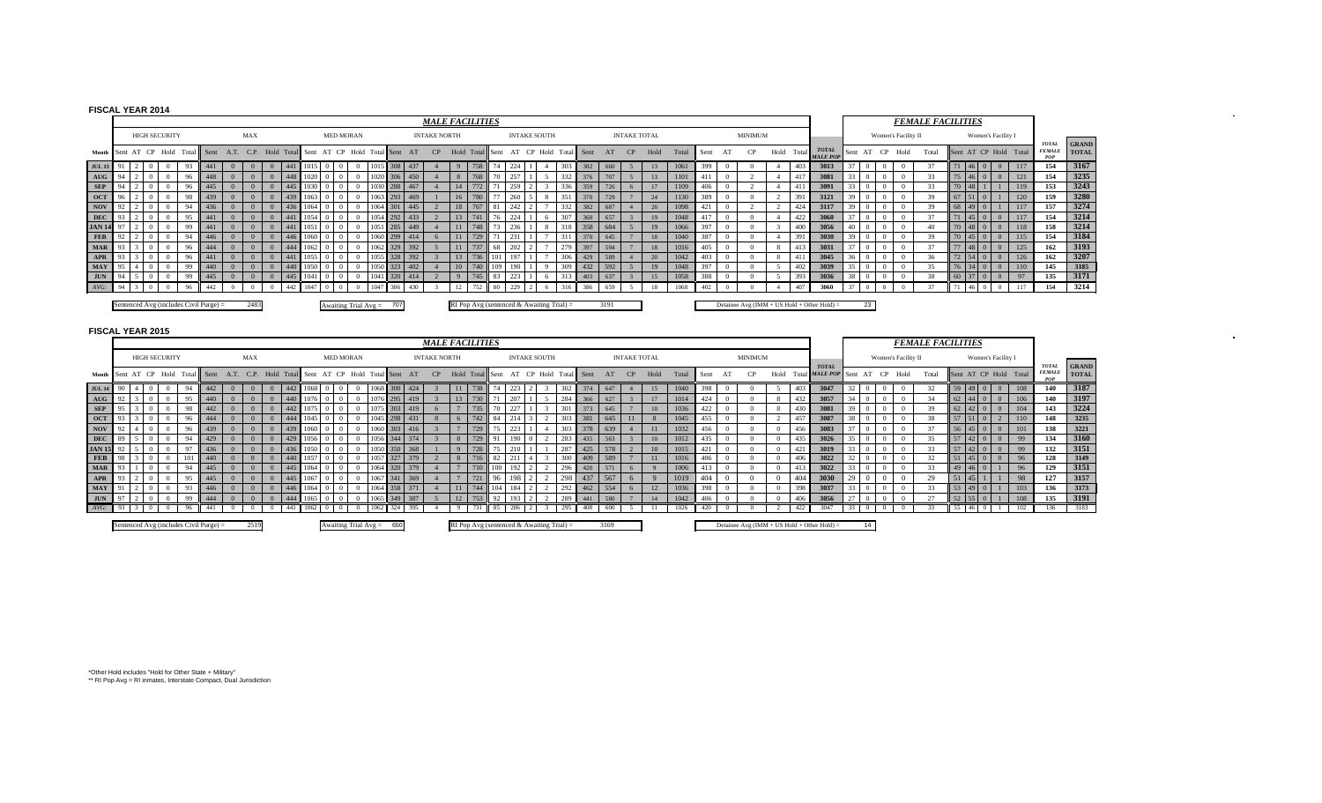# **FISCAL YEAR 2014**

|               |    |  |                      |     |                                        |          |                                       |         |      |                  |                            |         |     | <b>MALE FACILITIES</b> |                                             |         |     |    |                     |                 |        |      |                     |      |       |      |                |    |            |                                             |    |    |                     | <b>FEMALE FACILITIES</b> |    |    |             |                    |                       |                               |                              |
|---------------|----|--|----------------------|-----|----------------------------------------|----------|---------------------------------------|---------|------|------------------|----------------------------|---------|-----|------------------------|---------------------------------------------|---------|-----|----|---------------------|-----------------|--------|------|---------------------|------|-------|------|----------------|----|------------|---------------------------------------------|----|----|---------------------|--------------------------|----|----|-------------|--------------------|-----------------------|-------------------------------|------------------------------|
|               |    |  | <b>HIGH SECURITY</b> |     |                                        |          | MAX                                   |         |      | <b>MED MORAN</b> |                            |         |     | <b>INTAKE NORTH</b>    |                                             |         |     |    | <b>INTAKE SOUTH</b> |                 |        |      | <b>INTAKE TOTAL</b> |      |       |      | <b>MINIMUM</b> |    |            |                                             |    |    | Women's Facility II |                          |    |    |             | Women's Facility I |                       |                               |                              |
| Month         |    |  | AT CP Hold           |     | Total Sent                             | A.T.     | C.P. Hold Total Sent AT CP Hold Total |         |      |                  |                            | al Sent | AT  | CP                     | Hold Total                                  | Sent    | AT  | CP | Hold                | Tota            | 1 Sent |      | CP                  | Hold | Total | Sent |                |    | Hold Total | <b>TOTAL</b><br><b>MALE POP</b>             |    |    | Sent AT CP Hold     | Total                    |    |    |             |                    | Sent AT CP Hold Total | <b>TOTAL</b><br><b>FEMALE</b> | <b>GRAND</b><br><b>TOTAL</b> |
| <b>JUL 13</b> |    |  |                      |     |                                        |          |                                       |         |      |                  |                            |         |     |                        |                                             |         |     |    |                     | 30 <sup>2</sup> | 382    | 660  |                     | 13   | 1061  | 399  |                |    | 403        | 3013                                        |    |    |                     |                          |    |    |             |                    | 117                   | 154                           | 3167                         |
| AUG           |    |  |                      | 96  | 448                                    |          | $\Omega$                              |         |      |                  |                            | 306     | 450 |                        |                                             |         |     |    |                     | 332             | 376    | 707  |                     | 13   | 1101  | -411 |                |    |            | 3081                                        |    |    |                     |                          |    |    |             | $\Omega$           | 121                   | 154                           | 3235                         |
| <b>SEP</b>    |    |  |                      | 96  | 445                                    |          | $\Omega$                              |         |      |                  |                            | 288     | 467 |                        | 772                                         |         | 259 |    |                     | 336             | 359    | 726  | -6                  | 17   | 1109  | 406  |                |    |            | 3091                                        |    |    |                     |                          |    | 48 |             |                    | 119                   | 153                           | 3243                         |
| <b>OCT</b>    |    |  |                      | 98  | 439                                    |          | $\overline{0}$                        | $-1439$ |      |                  |                            | 31293   | 469 |                        |                                             |         | 260 |    |                     | 351             | 370    | 729  |                     | 24   | 1130  | 389  |                |    | 391        | 3121                                        | 39 |    |                     |                          |    |    |             |                    | 120                   | 159                           | 3280                         |
| <b>NOV</b>    |    |  |                      | 94  | 436                                    |          | $\Omega$                              |         |      |                  |                            |         | 445 |                        |                                             |         |     |    |                     | 332             | 382    | 687  |                     | 26   | 1098  | 421  |                |    |            | 3117                                        | 39 |    |                     | $_{20}$                  | 68 |    |             |                    | 117                   | 157                           | 3274                         |
| <b>DEC</b>    |    |  |                      | 95  | 441                                    |          | $\Omega$                              |         |      |                  | 105                        | 4 292   | 433 |                        | 741                                         |         |     |    |                     | 307             | 368    | 657  |                     | 19   | 1048  | 417  |                |    | 422        | 3060                                        |    |    |                     |                          |    |    | 4500        | $\overline{0}$     | 117                   | 154                           | 3214                         |
| <b>JAN 14</b> |    |  |                      | -99 |                                        |          |                                       |         |      |                  |                            | 285     | 449 |                        |                                             |         | 236 |    |                     | 318             | 358    | 684  |                     | 19   | 1066  | 397  |                |    | 400        | 3056                                        |    |    |                     |                          |    |    | 48 0 1      | $\Omega$           | 118                   | 158                           | 3214                         |
| <b>FEB</b>    |    |  |                      | -94 | 446                                    |          | $\Omega$                              |         |      |                  |                            | 299     | 414 |                        |                                             |         |     |    |                     | 311             | 370    | 645  |                     | 18   | 1040  | 387  |                |    | 391        | 3030                                        | 39 |    |                     |                          |    |    |             | 45 0 0             | 115                   | 154                           | 3184                         |
| <b>MAR</b>    |    |  |                      | 96  | 444                                    |          | $\Omega$                              |         |      |                  |                            | 329     | 392 |                        |                                             | 68      |     |    |                     | 279             | 397    | 594  |                     | 18   | 1016  | 405  |                |    |            | 3031                                        |    |    |                     |                          |    |    | $48 \mid 0$ | $\Omega$           | 125                   | 162                           | 3193                         |
| APR           |    |  |                      | 96  |                                        |          | $\Omega$                              |         |      |                  |                            | 328     | 392 |                        |                                             |         |     |    |                     | 306             | 429    | 589  |                     | 20   | 1042  | 403  |                | -8 |            | 3045                                        |    |    |                     |                          |    |    |             |                    | 126                   | 162                           | 3207                         |
| MAY           |    |  |                      | -99 | 440                                    |          | $\Omega$                              | 440     |      |                  |                            | 323     | 402 |                        |                                             | 740 109 |     |    |                     | 309             | 432    | 592  |                     | 19   | 1048  | 397  |                |    | 402        | 3039                                        |    |    |                     |                          |    | 76 |             | $\Omega$           | 110                   | 145                           | 3185                         |
| <b>JUN</b>    |    |  |                      | 99  | 445                                    | $\Omega$ | $\Omega$                              |         |      |                  |                            | 320     | 414 |                        |                                             | 83      | 223 |    |                     | 313             | 403    | 637  |                     | 15   | 1058  | 388  |                |    | 393        | 3036                                        |    |    |                     |                          |    |    |             | $\Omega$           | 97                    | 135                           | 3171                         |
| $AVG$ :       | 94 |  |                      | 96  | 442                                    |          |                                       | 442     | 1047 |                  |                            | 7 306   | 430 |                        |                                             | 80      | 229 |    |                     | 316             | 386    | 659  |                     | 18   | 1068  | 402  |                |    | 407        | 3060                                        |    |    |                     |                          |    |    |             |                    | 117                   | 154                           | 3214                         |
|               |    |  |                      |     | Sentenced Avg (includes Civil Purge) = |          | 2483                                  |         |      |                  | Awaiting Trial $Avg = 707$ |         |     |                        | RI Pop Avg (sentenced & Awaiting Trial) $=$ |         |     |    |                     |                 |        | 3191 |                     |      |       |      |                |    |            | Detainee Avg (IMM + US Hold + Other Hold) = |    | 23 |                     |                          |    |    |             |                    |                       |                               |                              |

 $\sim 10^{-1}$ 

 $\sim$ 

|               |  |                      |                |                                        |                                                 |            |     |      |                  |          |                        |                  |         | <b>MALE FACILITIES</b> |            |                 |     |                                           |                     |                  |      |      |                     |      |       |      |          |                |          |     |                                                |    |            |                     | <b>FEMALE FACILITIES</b> |                 |              |                    |                       |                                      |                              |
|---------------|--|----------------------|----------------|----------------------------------------|-------------------------------------------------|------------|-----|------|------------------|----------|------------------------|------------------|---------|------------------------|------------|-----------------|-----|-------------------------------------------|---------------------|------------------|------|------|---------------------|------|-------|------|----------|----------------|----------|-----|------------------------------------------------|----|------------|---------------------|--------------------------|-----------------|--------------|--------------------|-----------------------|--------------------------------------|------------------------------|
|               |  | <b>HIGH SECURITY</b> |                |                                        |                                                 | <b>MAX</b> |     |      | <b>MED MORAN</b> |          |                        |                  |         | <b>INTAKE NORTH</b>    |            |                 |     |                                           | <b>INTAKE SOUTH</b> |                  |      |      | <b>INTAKE TOTAL</b> |      |       |      |          | <b>MINIMUM</b> |          |     |                                                |    |            | Women's Facility II |                          |                 |              | Women's Facility I |                       |                                      |                              |
|               |  |                      |                | Month Sent AT CP Hold Total Sent       | A.T. C.P. Hold Total Sent AT CP Hold Total Sent |            |     |      |                  |          |                        |                  | AT      | CP                     |            | Hold Total Sent |     |                                           |                     | AT CP Hold Total | Sent | AT   | CP                  | Hold | Total | Sent |          |                | Hold     |     | <b>TOTAL</b><br>Total MALE POP Sent            |    | AT CP Hold |                     | Total                    |                 |              |                    | Sent AT CP Hold Total | <b>TOTAL</b><br><b>FEMALE</b><br>POP | <b>GRAND</b><br><b>TOTAL</b> |
| <b>JUL 14</b> |  |                      |                | 442                                    |                                                 |            | 442 | 1068 |                  |          | 1068 300               |                  | 424     |                        | 11         | 738             |     |                                           |                     | 302              | 374  | 647  |                     | 15   | 1040  | 398  |          |                |          | 403 | 3047                                           |    |            |                     |                          |                 |              | $\mathbf{0}$       | 108                   | 140                                  | 3187                         |
| AUG           |  |                      | Q <sub>5</sub> | 440                                    |                                                 |            |     |      |                  |          | 1076 295 419           |                  |         |                        | 13         |                 |     |                                           |                     | 284              | 366  | 627  |                     | 17   | 1014  | 424  |          |                |          | 432 | 3057                                           |    |            |                     |                          | 62 <sub>1</sub> |              | $\Omega$           | 106                   | 140                                  | 3197                         |
| <b>SEP</b>    |  |                      | 98             | 442                                    |                                                 |            | 442 |      |                  |          | 1075 303 419           |                  |         |                        |            | 735             |     |                                           |                     | .30 <sup>7</sup> | 373  | 645  |                     | 10   | 1036  | 422  |          |                |          | 430 | 3081                                           |    |            |                     |                          | $62 -$          |              | $\overline{0}$     | 104                   | 143                                  | 3224                         |
| OCT           |  |                      |                |                                        |                                                 |            |     |      |                  |          |                        |                  |         |                        |            | 742             | 84  |                                           |                     | 303              | 381  | 645  | 11                  |      | 1045  | 455  |          |                |          | 457 | 3087                                           |    |            |                     |                          |                 |              |                    | 110                   | 148                                  | 3235                         |
| <b>NOV</b>    |  |                      |                | 439                                    |                                                 |            |     |      |                  |          | 1060 303               |                  |         |                        |            | 729             |     |                                           |                     |                  | 378  | 639  |                     | 11   | 1032  | 456  |          |                |          | 456 | 3083                                           |    |            |                     |                          |                 |              |                    | 101                   | 138                                  | 3221                         |
| <b>DEC</b>    |  |                      |                | 429                                    |                                                 |            |     |      |                  |          |                        |                  |         |                        |            |                 |     |                                           |                     | 283              | 435  | 563  |                     | 10   | 1012  | 435  |          |                |          | 435 | 3026                                           |    |            |                     |                          |                 |              |                    | 99                    | 134                                  | 3160                         |
| <b>JAN 15</b> |  |                      |                | 436                                    |                                                 |            |     |      |                  |          | 1050                   | 350 <sup>1</sup> | 368     |                        |            | 728             |     |                                           |                     | 287              | 425  | 578  |                     | 10   | 1015  |      |          |                |          |     | 3019                                           |    |            |                     |                          |                 |              |                    | 99                    | 132                                  | 3151                         |
| <b>FEB</b>    |  |                      |                | 440                                    |                                                 |            |     |      |                  |          | 1057                   |                  |         |                        |            | 716             | -82 |                                           |                     | 300              | 409  | 589  |                     | 11   | 1016  | 406  |          |                |          | 406 | 3022                                           |    |            |                     |                          |                 |              | $\Omega$           | 96                    | 128                                  | 3149                         |
| MAR           |  |                      |                | 445                                    |                                                 |            | 445 | 1064 |                  |          | 1064 320 379           |                  |         |                        |            | 710             | 100 | 192                                       |                     | 296              | 420  | 571  |                     |      | 006   |      |          |                |          | 413 | 3022                                           |    |            |                     |                          |                 |              |                    | 96                    | 129                                  | 3151                         |
| APR           |  |                      |                | 445                                    |                                                 |            | 445 | 1067 |                  |          | 1067                   |                  | 341 369 |                        |            |                 | .96 | 198                                       |                     | 298              | 437  | 567  | -6                  |      | 1019  | 404  |          |                |          | 404 | 3030                                           |    |            |                     | 29                       |                 |              |                    | 98                    | 127                                  | 3157                         |
| <b>MAY</b>    |  |                      |                | 446                                    |                                                 |            | 446 |      |                  |          |                        | <b>1358</b>      | 371     |                        |            | 744             |     | 184                                       |                     | 292              | 462  | 554  | -6                  | 12   | 1036  | 398  | $\Omega$ |                |          | 398 | 3037                                           |    |            |                     |                          |                 |              |                    | 103                   | 136                                  | 3173                         |
| <b>JUN</b>    |  |                      |                | 444                                    |                                                 |            |     | 065  |                  |          |                        |                  | 387     |                        | 12         | 753             |     |                                           |                     | 289              | 441  | 580  |                     | 14   | 1042  | 406  | $\Omega$ |                | $\Omega$ | 406 | 3056                                           | 27 |            |                     |                          |                 |              |                    | 108                   | 135                                  | 3191                         |
| $AVG$ :       |  |                      | 96             | 441                                    | $\Omega$                                        | $\Omega$   | 441 | 1062 |                  | $\Omega$ | 1062 324               |                  | 395     |                        | $^{\circ}$ | 731             | 85  | 206                                       |                     | 295              | 408  | 600  |                     |      | 1026  | 420  | $\Omega$ |                |          | 422 | 3047                                           | 33 | $\Omega$   | $\Omega$            |                          | 55 1            | $46 \quad 0$ |                    | 102                   | 136                                  | 3183                         |
|               |  |                      |                | Sentenced Avg (includes Civil Purge) = |                                                 | 2519       |     |      |                  |          | Awaiting Trial $Avg =$ | 650              |         |                        |            |                 |     | RI Pop Avg (sentenced & Awaiting Trial) = |                     |                  |      | 3169 |                     |      |       |      |          |                |          |     | Detainee Avg ( $IMM + US$ Hold + Other Hold) = |    | 14         |                     |                          |                 |              |                    |                       |                                      |                              |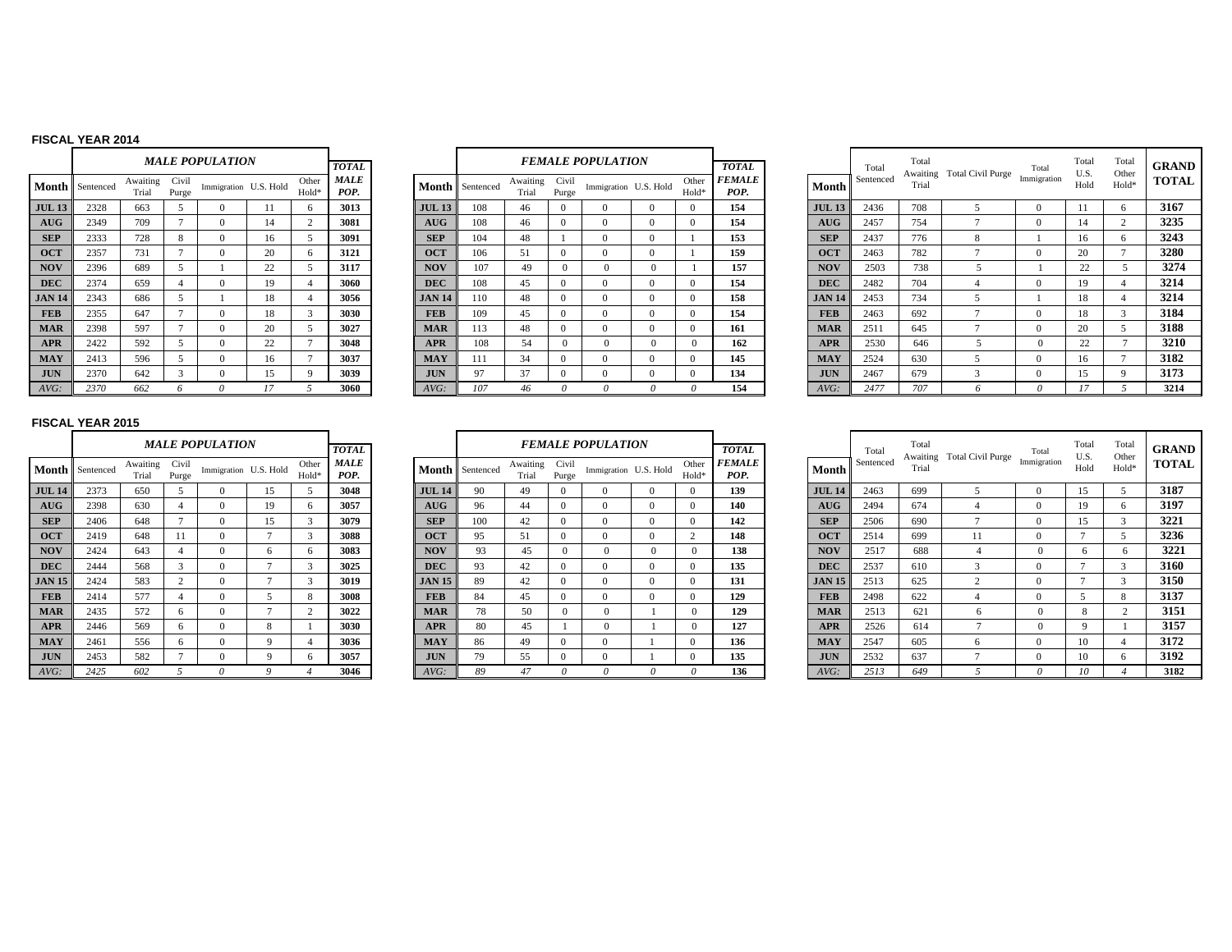#### **FISCAL YEAR 2014**

|               |           |                   |                | <i><b>MALE POPULATION</b></i> |    |                |                     |
|---------------|-----------|-------------------|----------------|-------------------------------|----|----------------|---------------------|
|               |           |                   |                |                               |    |                | TOTAL.              |
| Month         | Sentenced | Awaiting<br>Trial | Civil<br>Purge | Immigration U.S. Hold         |    | Other<br>Hold* | <b>MALE</b><br>POP. |
| <b>JUL 13</b> | 2328      | 663               | 5              | $\Omega$                      | 11 | 6              | 3013                |
| AUG           | 2349      | 709               | $\overline{7}$ | $\Omega$                      | 14 | $\overline{c}$ | 3081                |
| <b>SEP</b>    | 2333      | 728               | 8              | $\Omega$                      | 16 | 5              | 3091                |
| <b>OCT</b>    | 2357      | 731               | 7              | $\theta$                      | 20 | 6              | 3121                |
| <b>NOV</b>    | 2396      | 689               | 5              | 1                             | 22 | 5              | 3117                |
| <b>DEC</b>    | 2374      | 659               | $\overline{4}$ | $\theta$                      | 19 | 4              | 3060                |
| <b>JAN 14</b> | 2343      | 686               | 5              | 1                             | 18 | 4              | 3056                |
| <b>FEB</b>    | 2355      | 647               | 7              | $\Omega$                      | 18 | 3              | 3030                |
| <b>MAR</b>    | 2398      | 597               | 7              | $\Omega$                      | 20 | 5              | 3027                |
| <b>APR</b>    | 2422      | 592               | 5              | $\Omega$                      | 22 | 7              | 3048                |
| <b>MAY</b>    | 2413      | 596               | 5              | $\Omega$                      | 16 | 7              | 3037                |
| <b>JUN</b>    | 2370      | 642               | 3              | $\theta$                      | 15 | 9              | 3039                |
| AVG:          | 2370      | 662               | 6              | $\Omega$                      | 17 | $\overline{5}$ | 3060                |

|           |                   |                | <b>MALE POPULATION</b> |    |                | <b>TOTAL</b>        |               |                 |                   |                | <i>FEMALE POPULATION</i> |          |                | <b>TOTAL</b>          |               | Total     | Total<br>Awaiti |
|-----------|-------------------|----------------|------------------------|----|----------------|---------------------|---------------|-----------------|-------------------|----------------|--------------------------|----------|----------------|-----------------------|---------------|-----------|-----------------|
| Sentenced | Awaiting<br>Trial | Civil<br>Purge | Immigration U.S. Hold  |    | Other<br>Hold* | <b>MALE</b><br>POP. |               | Month Sentenced | Awaiting<br>Trial | Civil<br>Purge | Immigration U.S. Hold    |          | Other<br>Hold* | <b>FEMALE</b><br>POP. | Month         | Sentenced | Trial           |
| 2328      | 663               |                | $\Omega$               |    | 6              | 3013                | <b>JUL 13</b> | 108             | 46                | $\Omega$       |                          | $\Omega$ | $\mathbf{0}$   | 154                   | <b>JUL 13</b> | 2436      | 708             |
| 2349      | 709               | $\overline{ }$ | $\Omega$               | 14 | $\mathfrak{2}$ | 3081                | <b>AUG</b>    | 108             | 46                | $\Omega$       | $\Omega$                 | $\Omega$ | $\Omega$       | 154                   | AUG           | 2457      | 754             |
| 2333      | 728               | 8              | $\Omega$               | 16 |                | 3091                | <b>SEP</b>    | 104             | 48                |                | $\Omega$                 | $\Omega$ |                | 153                   | <b>SEP</b>    | 2437      | 776             |
| 2357      | 731               | $\overline{ }$ | $\Omega$               | 20 | 6              | 3121                | <b>OCT</b>    | 106             | 51                | $\Omega$       | $\Omega$                 | $\Omega$ |                | 159                   | <b>OCT</b>    | 2463      | 782             |
| 2396      | 689               | 5              |                        | 22 | 5              | 3117                | <b>NOV</b>    | 107             | 49                | $\Omega$       |                          | 0        |                | 157                   | <b>NOV</b>    | 2503      | 738             |
| 2374      | 659               |                | $\Omega$               | 19 | 4              | 3060                | <b>DEC</b>    | 108             | 45                | $\Omega$       | $\Omega$                 | $\Omega$ | $\Omega$       | 154                   | <b>DEC</b>    | 2482      | 704             |
| 2343      | 686               | 5              |                        | 18 | 4              | 3056                | <b>JAN 14</b> | 110             | 48                | $\Omega$       | $\Omega$                 | $\Omega$ | $\Omega$       | 158                   | <b>JAN 14</b> | 2453      | 734             |
| 2355      | 647               | $\overline{ }$ | $\Omega$               | 18 | 3              | 3030                | <b>FEB</b>    | 109             | 45                | $\Omega$       | $\Omega$                 | $\Omega$ | $\Omega$       | 154                   | <b>FEB</b>    | 2463      | 692             |
| 2398      | 597               | $\overline{ }$ | $\Omega$               | 20 | 5              | 3027                | <b>MAR</b>    | 113             | 48                | $\Omega$       | $\Omega$                 | $\Omega$ | $\Omega$       | 161                   | <b>MAR</b>    | 2511      | 645             |
| 2422      | 592               |                | $\Omega$               | 22 | $\overline{ }$ | 3048                | <b>APR</b>    | 108             | 54                | $\Omega$       |                          | 0        | $\Omega$       | 162                   | <b>APR</b>    | 2530      | 646             |
| 2413      | 596               | 5              | $\Omega$               | 16 | $\overline{ }$ | 3037                | <b>MAY</b>    | 111             | 34                | 0              | $\Omega$                 | $\Omega$ | $\Omega$       | 145                   | <b>MAY</b>    | 2524      | 630             |
| 2370      | 642               | 3              | $\mathbf{0}$           | 15 | 9              | 3039                | <b>JUN</b>    | 97              | 37                | $\Omega$       | $\Omega$                 | $\Omega$ | $\mathbf{0}$   | 134                   | <b>JUN</b>    | 2467      | 679             |
| 2370      | 662               | <sup>0</sup>   | $\theta$               | 17 |                | 3060                | $AVG$ :       | 107             | 46                | 0              | 0                        |          | 0              | 154                   | AVG:          | 2477      | 707             |

|    |                      |                   |                | <b>MALE POPULATION</b> |    |                            | <b>TOTAL</b> |               |                        |                   |                | <b>FEMALE POPULATION</b> |                            | <b>TOTAL</b>                 |               | Total     | Total | Awaiting Total Civil Purge | Total       | Total<br>U.S. | Total<br>Other | <b>GRAND</b> |
|----|----------------------|-------------------|----------------|------------------------|----|----------------------------|--------------|---------------|------------------------|-------------------|----------------|--------------------------|----------------------------|------------------------------|---------------|-----------|-------|----------------------------|-------------|---------------|----------------|--------------|
|    | <b>1th</b> Sentenced | Awaiting<br>Trial | Civil<br>Purge | Immigration U.S. Hold  |    | Other<br>Hold <sup>*</sup> | MALE<br>POP. |               | <b>Month</b> Sentenced | Awaiting<br>Trial | Civil<br>Purge | Immigration U.S. Hold    | Other<br>Hold <sup>*</sup> | <i><b>FEMALE</b></i><br>POP. | Month         | Sentenced | Trial |                            | Immigration | Hold          | $Hold*$        | <b>TOTAL</b> |
| 13 | 2328                 | 663               |                |                        |    |                            | 3013         | <b>JUL 13</b> | 108                    | 46                |                |                          | $\Omega$                   | 154                          | <b>JUL 13</b> | 2436      | 708   |                            |             |               | $\sqrt{2}$     | 3167         |
| G. | 2349                 | 709               |                |                        | 14 |                            | 3081         | AUG           | 108                    | 46                |                |                          |                            | 154                          | AUG           | 2457      | 754   |                            |             |               |                | 3235         |
|    | 2333                 | 728               | $\mathbf{8}$   |                        | 16 |                            | 3091         | <b>SEP</b>    | 104                    | 48                |                |                          |                            | 153                          | <b>SEP</b>    | 2437      | 776   | $\mathbf{\mathsf{R}}$      |             |               |                | 3243         |
|    | 2357                 | 731               |                |                        | 20 |                            | 3121         | <b>OCT</b>    | 106                    | 51                |                |                          |                            | 159                          | <b>OCT</b>    | 2463      | 782   |                            |             | 20            |                | 3280         |
|    | 2396                 | 689               |                |                        | 22 |                            | 3117         | <b>NOV</b>    | 107                    | 49                |                |                          |                            | 157                          | <b>NOV</b>    | 2503      | 738   |                            |             | 22            |                | 3274         |
|    | 2374                 | 659               |                |                        | 19 |                            | 3060         | <b>DEC</b>    | 108                    | 45                |                |                          |                            | 154                          | <b>DEC</b>    | 2482      | 704   |                            |             | 19            |                | 3214         |
| 14 | 2343                 | 686               |                |                        | 18 |                            | 3056         | <b>JAN 14</b> | 110                    | 48                |                |                          |                            | 158                          | <b>JAN 14</b> | 2453      | 734   |                            |             |               |                | 3214         |
|    | 2355                 | 647               |                |                        | 18 |                            | 3030         | <b>FEB</b>    | 109                    | 45                |                |                          | $^{\prime}$                | 154                          | <b>FEB</b>    | 2463      | 692   |                            |             |               |                | 3184         |
|    | 2398                 | 597               |                |                        | 20 |                            | 3027         | <b>MAR</b>    | 113                    | 48                |                |                          | $^{\prime}$                | 161                          | <b>MAR</b>    | 2511      | 645   |                            | $\Omega$    | 20            |                | 3188         |
|    | 2422                 | 592               |                |                        | 22 |                            | 3048         | <b>APR</b>    | 108                    | 54                |                |                          |                            | 162                          | <b>APR</b>    | 2530      | 646   |                            | $\Omega$    | 22            |                | 3210         |
|    | 2413                 | 596               |                |                        | 16 |                            | 3037         | <b>MAY</b>    | 111                    | 34                |                |                          |                            | 145                          | <b>MAY</b>    | 2524      | 630   |                            |             |               |                | 3182         |
|    | 2370                 | 642               |                |                        | 15 |                            | 3039         | <b>JUN</b>    | 97                     | 37                |                |                          | -0                         | 134                          | <b>JUN</b>    | 2467      | 679   |                            |             |               |                | 3173         |
|    | 2370                 | 662               |                |                        |    |                            | 3060         | AVG:          |                        |                   |                |                          |                            | 154                          | AVG:          | 2477      | 707   |                            |             |               |                | 3214         |

|               |           |                   |                | <b>MALE POPULATION</b> |                |                | <b>TOTAL</b>        |               |
|---------------|-----------|-------------------|----------------|------------------------|----------------|----------------|---------------------|---------------|
| Month         | Sentenced | Awaiting<br>Trial | Civil<br>Purge | Immigration U.S. Hold  |                | Other<br>Hold* | <b>MALE</b><br>POP. | Month         |
| <b>JUL 14</b> | 2373      | 650               | 5              | $\Omega$               | 15             | 5              | 3048                | <b>JUL 14</b> |
| AIIG          | 2398      | 630               | $\overline{4}$ | $\Omega$               | 19             | 6              | 3057                | <b>AUG</b>    |
| <b>SEP</b>    | 2406      | 648               | $\overline{7}$ | $\Omega$               | 15             | 3              | 3079                | <b>SEP</b>    |
| <b>OCT</b>    | 2419      | 648               | 11             | $\Omega$               | $\overline{7}$ | 3              | 3088                | <b>OCT</b>    |
| <b>NOV</b>    | 2424      | 643               | $\overline{4}$ | $\Omega$               | 6              | 6              | 3083                | <b>NOV</b>    |
| <b>DEC</b>    | 2444      | 568               | 3              | $\Omega$               | $\overline{7}$ | 3              | 3025                | <b>DEC</b>    |
| <b>JAN 15</b> | 2424      | 583               | $\overline{c}$ | $\Omega$               | $\overline{7}$ | 3              | 3019                | <b>JAN 15</b> |
| <b>FEB</b>    | 2414      | 577               | $\overline{4}$ | $\Omega$               | 5              | 8              | 3008                | <b>FEB</b>    |
| <b>MAR</b>    | 2435      | 572               | 6              | $\Omega$               | $\overline{7}$ | $\overline{2}$ | 3022                | <b>MAR</b>    |
| <b>APR</b>    | 2446      | 569               | 6              | $\Omega$               | 8              | 1              | 3030                | <b>APR</b>    |
| <b>MAY</b>    | 2461      | 556               | 6              | $\Omega$               | 9              | $\overline{4}$ | 3036                | <b>MAY</b>    |
| <b>JUN</b>    | 2453      | 582               | 7              | $\mathbf{0}$           | 9              | 6              | 3057                | <b>JUN</b>    |
| $AVG$ :       | 2425      | 602               | 5              | $\theta$               | 9              | $\overline{4}$ | 3046                | AVG:          |

|             |                | <i><b>MALE POPULATION</b></i> |                |                | <b>TOTAL</b> |                 |           |                   |                | <b>FEMALE POPULATION</b> |              |                | <b>TOTAL</b>          |               | Total     | Total<br>Awaiti |
|-------------|----------------|-------------------------------|----------------|----------------|--------------|-----------------|-----------|-------------------|----------------|--------------------------|--------------|----------------|-----------------------|---------------|-----------|-----------------|
| iting<br>al | Civil<br>Purge | Immigration U.S. Hold         |                | Other<br>Hold* | MALE<br>POP. | Month           | Sentenced | Awaiting<br>Trial | Civil<br>Purge | Immigration U.S. Hold    |              | Other<br>Hold* | <b>FEMALE</b><br>POP. | Month         | Sentenced | Trial           |
| Ò           | 5              | $\Omega$                      | 15             | 5              | 3048         | <b>JUL 14</b>   | 90        | 49                | $\Omega$       | $\Omega$                 | $\Omega$     | $\Omega$       | 139                   | <b>JUL 14</b> | 2463      | 699             |
| 0           | 4              | $\Omega$                      | 19             | 6              | 3057         | A <sub>UG</sub> | 96        | 44                | $\Omega$       | $\Omega$                 | $\Omega$     | $\mathbf{0}$   | 140                   | AUG           | 2494      | 674             |
| 8           | $\overline{ }$ | $\Omega$                      | 15             | 3              | 3079         | <b>SEP</b>      | 100       | 42                | $\Omega$       | $\Omega$                 | $\mathbf{0}$ | $\mathbf{0}$   | 142                   | <b>SEP</b>    | 2506      | 690             |
| 8           | 11             | $\Omega$                      | $\mathcal{L}$  | 3              | 3088         | <b>OCT</b>      | 95        | 51                | $\Omega$       | $\Omega$                 | $\Omega$     | 2              | 148                   | <b>OCT</b>    | 2514      | 699             |
| 3           | 4              | $\Omega$                      | 6              | 6              | 3083         | <b>NOV</b>      | 93        | 45                | $\Omega$       | $\Omega$                 | $\mathbf{0}$ | $\Omega$       | 138                   | <b>NOV</b>    | 2517      | 688             |
| 8           | 3              | $\Omega$                      | $\overline{ }$ | 3              | 3025         | <b>DEC</b>      | 93        | 42                | $\Omega$       | $\Omega$                 | $\mathbf{0}$ | $\mathbf{0}$   | 135                   | <b>DEC</b>    | 2537      | 610             |
| 3           | C              | $\Omega$                      | $\mathcal{L}$  | 3              | 3019         | <b>JAN 15</b>   | 89        | 42                | $\Omega$       | $\Omega$                 | $\mathbf{0}$ | $\mathbf{0}$   | 131                   | <b>JAN 15</b> | 2513      | 625             |
|             | 4              | $\Omega$                      | 5              | 8              | 3008         | <b>FEB</b>      | 84        | 45                | $\Omega$       | $\Omega$                 | $\mathbf{0}$ | $\mathbf{0}$   | 129                   | <b>FEB</b>    | 2498      | 622             |
| n           | 6              | $\Omega$                      | $\overline{ }$ | $\mathcal{D}$  | 3022         | <b>MAR</b>      | 78        | 50                | $\Omega$       | $\Omega$                 |              | $\Omega$       | 129                   | <b>MAR</b>    | 2513      | 621             |
| Q           | 6              | $\Omega$                      | 8              |                | 3030         | <b>APR</b>      | 80        | 45                |                | $\mathbf{0}$             |              | $\mathbf{0}$   | 127                   | <b>APR</b>    | 2526      | 614             |
| 6           | 6              | $\Omega$                      | 9              | 4              | 3036         | <b>MAY</b>      | 86        | 49                | $\Omega$       | $\Omega$                 |              | $\mathbf{0}$   | 136                   | <b>MAY</b>    | 2547      | 605             |
|             |                | $\Omega$                      | 9              | 6              | 3057         | <b>JUN</b>      | 79        | 55                | $\Omega$       | $\Omega$                 |              | $\mathbf{0}$   | 135                   | <b>JUN</b>    | 2532      | 637             |
|             |                | 0                             | 9              |                | 3046         | AVG:            | 89        | 47                | 0              | 0                        | $\theta$     | 0              | 136                   | $AVG$ :       | 2513      | 649             |

|    |                      |                   |                | <b>MALE POPULATION</b> |    |               | <b>TOTAL</b> |               |                 |                   |                | <b>FEMALE POPULATION</b> |          |                | <b>TOTAL</b>                 |               | Total     | Total | Awaiting Total Civil Purge | Total       | Total<br>U.S. | Total<br>Other | GRAND        |
|----|----------------------|-------------------|----------------|------------------------|----|---------------|--------------|---------------|-----------------|-------------------|----------------|--------------------------|----------|----------------|------------------------------|---------------|-----------|-------|----------------------------|-------------|---------------|----------------|--------------|
|    | <b>1th</b> Sentenced | Awaiting<br>Trial | Civil<br>Purge | Immigration U.S. Hold  |    | Other<br>Hold | MALE<br>POP. |               | Month Sentenced | Awaiting<br>Trial | Civil<br>Purge | Immigration U.S. Hold    |          | Other<br>Hold* | <i><b>FEMALE</b></i><br>POP. | Month         | Sentenced | Trial |                            | Immigration | Hold          | Hold*          | <b>TOTAL</b> |
| 14 | 2373                 | 650               |                |                        | 15 |               | 3048         | <b>JUL 14</b> | 90              | 49                |                |                          |          |                | 139                          | <b>JUL 14</b> | 2463      | 699   |                            |             | 15            |                | 3187         |
| G  | 2398                 | 630               |                |                        | 19 |               | 3057         | AUG           | 96              | 44                |                |                          |          |                | 140                          | AUG           | 2494      | 674   |                            |             | 19            |                | 3197         |
|    | 2406                 | 648               |                |                        | 15 |               | 3079         | <b>SEP</b>    | 100             | 42                |                |                          |          |                | 142                          | <b>SEP</b>    | 2506      | 690   |                            |             | 15            |                | 3221         |
|    | 2419                 | 648               |                |                        |    |               | 3088         | <b>OCT</b>    | 95              | 5.                |                |                          |          |                | 148                          | <b>OCT</b>    | 2514      | 699   | 11                         |             |               |                | 3236         |
|    | 2424                 | 643               |                |                        |    |               | 3083         | <b>NOV</b>    | 93              | 45                |                |                          | $\Omega$ |                | 138                          | <b>NOV</b>    | 2517      | 688   |                            | $\Omega$    |               |                | 3221         |
|    | 2444                 | 568               |                |                        |    |               | 3025         | <b>DEC</b>    |                 | 42                |                |                          |          |                | 135                          | <b>DEC</b>    | 2537      | 610   |                            |             |               |                | 3160         |
| 15 | 2424                 | 583               |                |                        |    |               | 3019         | <b>JAN 15</b> | 89              | 42                |                |                          |          |                | 131                          | <b>JAN 15</b> | 2513      | 625   |                            |             |               |                | 3150         |
|    | 2414                 | 577               |                |                        |    |               | 3008         | <b>FEB</b>    | 84              | 45                |                |                          |          |                | 129                          | <b>FEB</b>    | 2498      | 622   |                            |             |               |                | 3137         |
|    | 2435                 | 572               | 6              |                        |    |               | 3022         | <b>MAR</b>    | 78              | 50                | - 0            |                          |          |                | 129                          | <b>MAR</b>    | 2513      | 621   | h                          | $\Omega$    |               |                | 3151         |
|    | 2446                 | 569               |                |                        |    |               | 3030         | <b>APR</b>    | 80              | 45                |                |                          |          |                | 127                          | <b>APR</b>    | 2526      | 614   |                            | $\Omega$    |               |                | 3157         |
|    | 2461                 | 556               |                |                        |    |               | 3036         | <b>MAY</b>    | 86              | 49                |                |                          |          |                | 136                          | <b>MAY</b>    | 2547      | 605   |                            |             | 10            |                | 3172         |
|    | 2453                 | 582               |                |                        |    |               | 3057         | <b>JUN</b>    | 79              | 55                |                |                          |          |                | 135                          | <b>JUN</b>    | 2532      | 637   |                            |             | 10            |                | 3192         |
|    | 2425                 | 602               |                |                        |    |               | 3046         | AVG:          | 89              | 47                |                |                          |          |                | 136                          | $AVG$ :       | 2513      | 649   |                            |             | 10            |                | 3182         |